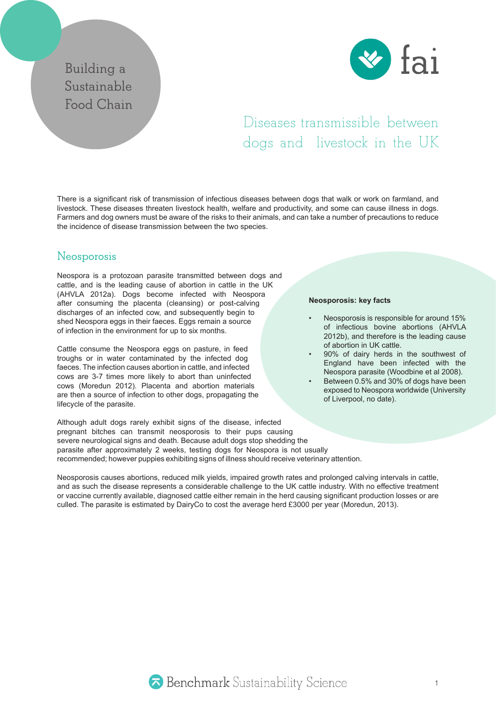## **Building a Sustainable Food Chain**



# Diseases transmissible between dogs and livestock in the UK

There is a significant risk of transmission of infectious diseases between dogs that walk or work on farmland, and livestock. These diseases threaten livestock health, welfare and productivity, and some can cause illness in dogs. Farmers and dog owners must be aware of the risks to their animals, and can take a number of precautions to reduce the incidence of disease transmission between the two species.

## **Neosporosis**

Neospora is a protozoan parasite transmitted between dogs and cattle, and is the leading cause of abortion in cattle in the UK (AHVLA 2012a). Dogs become infected with Neospora after consuming the placenta (cleansing) or post-calving discharges of an infected cow, and subsequently begin to shed Neospora eggs in their faeces. Eggs remain a source of infection in the environment for up to six months.

Cattle consume the Neospora eggs on pasture, in feed troughs or in water contaminated by the infected dog faeces. The infection causes abortion in cattle, and infected cows are 3-7 times more likely to abort than uninfected cows (Moredun 2012). Placenta and abortion materials are then a source of infection to other dogs, propagating the lifecycle of the parasite.

#### **Neosporosis: key facts**

- Neosporosis is responsible for around 15% of infectious bovine abortions (AHVLA 2012b), and therefore is the leading cause of abortion in UK cattle.
- 90% of dairy herds in the southwest of England have been infected with the Neospora parasite (Woodbine et al 2008).
- Between 0.5% and 30% of dogs have been exposed to Neospora worldwide (University of Liverpool, no date).

Although adult dogs rarely exhibit signs of the disease, infected pregnant bitches can transmit neosporosis to their pups causing severe neurological signs and death. Because adult dogs stop shedding the parasite after approximately 2 weeks, testing dogs for Neospora is not usually recommended; however puppies exhibiting signs of illness should receive veterinary attention.

Neosporosis causes abortions, reduced milk yields, impaired growth rates and prolonged calving intervals in cattle, and as such the disease represents a considerable challenge to the UK cattle industry. With no effective treatment or vaccine currently available, diagnosed cattle either remain in the herd causing significant production losses or are culled. The parasite is estimated by DairyCo to cost the average herd £3000 per year (Moredun, 2013).

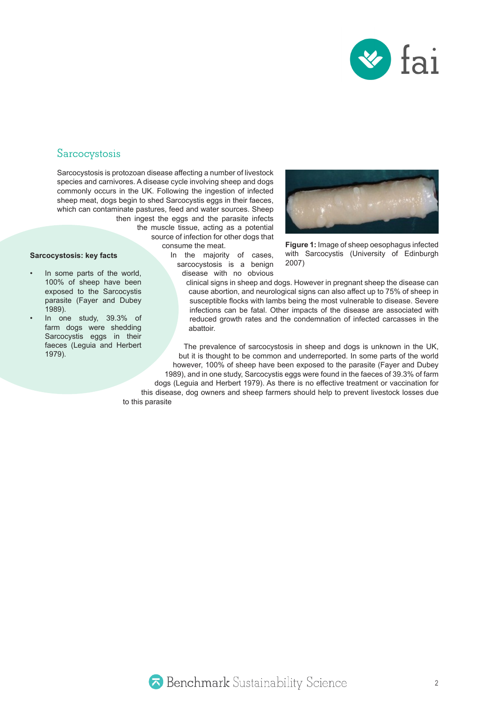

#### **Sarcocystosis**

Sarcocystosis is protozoan disease affecting a number of livestock species and carnivores. A disease cycle involving sheep and dogs commonly occurs in the UK. Following the ingestion of infected sheep meat, dogs begin to shed Sarcocystis eggs in their faeces, which can contaminate pastures, feed and water sources. Sheep

then ingest the eggs and the parasite infects the muscle tissue, acting as a potential source of infection for other dogs that consume the meat.

In the majority of cases, sarcocystosis is a benign disease with no obvious



**Figure 1:** Image of sheep oesophagus infected with Sarcocystis (University of Edinburgh 2007)

In some parts of the world, 100% of sheep have been exposed to the Sarcocystis parasite (Fayer and Dubey 1989).

**Sarcocystosis: key facts**

• In one study, 39.3% of farm dogs were shedding Sarcocystis eggs in their faeces (Leguia and Herbert 1979).

clinical signs in sheep and dogs. However in pregnant sheep the disease can cause abortion, and neurological signs can also affect up to 75% of sheep in susceptible flocks with lambs being the most vulnerable to disease. Severe infections can be fatal. Other impacts of the disease are associated with reduced growth rates and the condemnation of infected carcasses in the abattoir.

The prevalence of sarcocystosis in sheep and dogs is unknown in the UK, but it is thought to be common and underreported. In some parts of the world however, 100% of sheep have been exposed to the parasite (Fayer and Dubey 1989), and in one study, Sarcocystis eggs were found in the faeces of 39.3% of farm dogs (Leguia and Herbert 1979). As there is no effective treatment or vaccination for this disease, dog owners and sheep farmers should help to prevent livestock losses due to this parasite

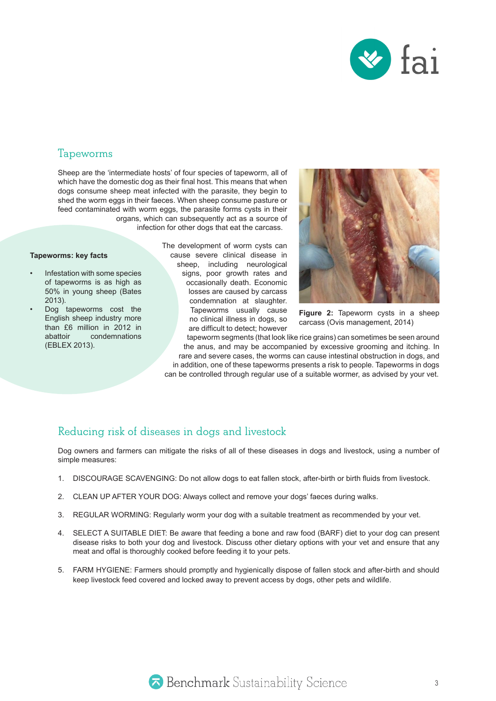

#### **Tapeworms**

Sheep are the 'intermediate hosts' of four species of tapeworm, all of which have the domestic dog as their final host. This means that when dogs consume sheep meat infected with the parasite, they begin to shed the worm eggs in their faeces. When sheep consume pasture or feed contaminated with worm eggs, the parasite forms cysts in their organs, which can subsequently act as a source of

infection for other dogs that eat the carcass.

#### **Tapeworms: key facts**

- Infestation with some species of tapeworms is as high as 50% in young sheep (Bates 2013).
- Dog tapeworms cost the English sheep industry more than £6 million in 2012 in abattoir condemnations (EBLEX 2013).

The development of worm cysts can cause severe clinical disease in sheep, including neurological signs, poor growth rates and occasionally death. Economic losses are caused by carcass condemnation at slaughter. Tapeworms usually cause no clinical illness in dogs, so are difficult to detect; however



**Figure 2:** Tapeworm cysts in a sheep carcass (Ovis management, 2014)

tapeworm segments (that look like rice grains) can sometimes be seen around the anus, and may be accompanied by excessive grooming and itching. In rare and severe cases, the worms can cause intestinal obstruction in dogs, and in addition, one of these tapeworms presents a risk to people. Tapeworms in dogs can be controlled through regular use of a suitable wormer, as advised by your vet.

#### **Reducing risk of diseases in dogs and livestock**

Dog owners and farmers can mitigate the risks of all of these diseases in dogs and livestock, using a number of simple measures:

- 1. DISCOURAGE SCAVENGING: Do not allow dogs to eat fallen stock, after-birth or birth fluids from livestock.
- 2. CLEAN UP AFTER YOUR DOG: Always collect and remove your dogs' faeces during walks.
- 3. REGULAR WORMING: Regularly worm your dog with a suitable treatment as recommended by your vet.
- 4. SELECT A SUITABLE DIET: Be aware that feeding a bone and raw food (BARF) diet to your dog can present disease risks to both your dog and livestock. Discuss other dietary options with your vet and ensure that any meat and offal is thoroughly cooked before feeding it to your pets.
- 5. FARM HYGIENE: Farmers should promptly and hygienically dispose of fallen stock and after-birth and should keep livestock feed covered and locked away to prevent access by dogs, other pets and wildlife.